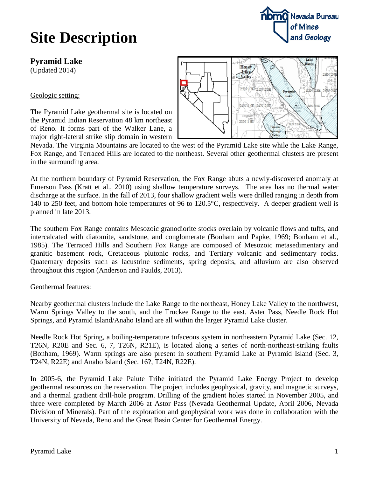**Pyramid Lake**

(Updated 2014)

Geologic setting:

The Pyramid Lake geothermal site is located on the Pyramid Indian Reservation 48 km northeast of Reno. It forms part of the Walker Lane, a major right-lateral strike slip domain in western



**noma** Nevada Bureau

of Mines

and Geology

Nevada. The Virginia Mountains are located to the west of the Pyramid Lake site while the Lake Range, Fox Range, and Terraced Hills are located to the northeast. Several other geothermal clusters are present in the surrounding area.

At the northern boundary of Pyramid Reservation, the Fox Range abuts a newly-discovered anomaly at Emerson Pass (Kratt et al., 2010) using shallow temperature surveys. The area has no thermal water discharge at the surface. In the fall of 2013, four shallow gradient wells were drilled ranging in depth from 140 to 250 feet, and bottom hole temperatures of 96 to 120.5°C, respectively. A deeper gradient well is planned in late 2013.

The southern Fox Range contains Mesozoic granodiorite stocks overlain by volcanic flows and tuffs, and intercalcated with diatomite, sandstone, and conglomerate (Bonham and Papke, 1969; Bonham et al., 1985). The Terraced Hills and Southern Fox Range are composed of Mesozoic metasedimentary and granitic basement rock, Cretaceous plutonic rocks, and Tertiary volcanic and sedimentary rocks. Quaternary deposits such as lacustrine sediments, spring deposits, and alluvium are also observed throughout this region (Anderson and Faulds, 2013).

### Geothermal features:

Nearby geothermal clusters include the Lake Range to the northeast, Honey Lake Valley to the northwest, Warm Springs Valley to the south, and the Truckee Range to the east. Aster Pass, Needle Rock Hot Springs, and Pyramid Island/Anaho Island are all within the larger Pyramid Lake cluster.

Needle Rock Hot Spring, a boiling-temperature tufaceous system in northeastern Pyramid Lake (Sec. 12, T26N, R20E and Sec. 6, 7, T26N, R21E), is located along a series of north-northeast-striking faults (Bonham, 1969). Warm springs are also present in southern Pyramid Lake at Pyramid Island (Sec. 3, T24N, R22E) and Anaho Island (Sec. 16?, T24N, R22E).

In 2005-6, the Pyramid Lake Paiute Tribe initiated the Pyramid Lake Energy Project to develop geothermal resources on the reservation. The project includes geophysical, gravity, and magnetic surveys, and a thermal gradient drill-hole program. Drilling of the gradient holes started in November 2005, and three were completed by March 2006 at Astor Pass (Nevada Geothermal Update, April 2006, Nevada Division of Minerals). Part of the exploration and geophysical work was done in collaboration with the University of Nevada, Reno and the Great Basin Center for Geothermal Energy.

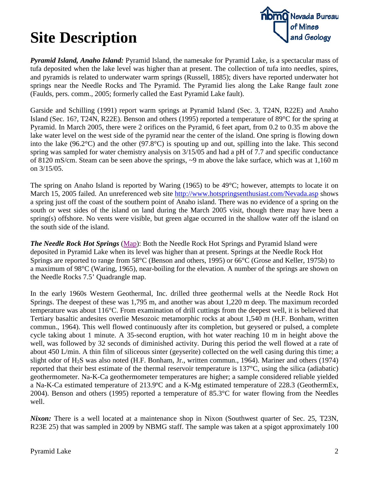

*Pyramid Island, Anaho Island:* Pyramid Island, the namesake for Pyramid Lake, is a spectacular mass of tufa deposited when the lake level was higher than at present. The collection of tufa into needles, spires, and pyramids is related to underwater warm springs (Russell, 1885); divers have reported underwater hot springs near the Needle Rocks and The Pyramid. The Pyramid lies along the Lake Range fault zone (Faulds, pers. comm., 2005; formerly called the East Pyramid Lake fault).

Garside and Schilling (1991) report warm springs at Pyramid Island (Sec. 3, T24N, R22E) and Anaho Island (Sec. 16?, T24N, R22E). Benson and others (1995) reported a temperature of 89°C for the spring at Pyramid. In March 2005, there were 2 orifices on the Pyramid, 6 feet apart, from 0.2 to 0.35 m above the lake water level on the west side of the pyramid near the center of the island. One spring is flowing down into the lake (96.2°C) and the other (97.8°C) is spouting up and out, spilling into the lake. This second spring was sampled for water chemistry analysis on 3/15/05 and had a pH of 7.7 and specific conductance of 8120 mS/cm. Steam can be seen above the springs, ~9 m above the lake surface, which was at 1,160 m on 3/15/05.

The spring on Anaho Island is reported by Waring (1965) to be 49°C; however, attempts to locate it on March 15, 2005 failed. An unreferenced web site<http://www.hotspringsenthusiast.com/Nevada.asp> shows a spring just off the coast of the southern point of Anaho island. There was no evidence of a spring on the south or west sides of the island on land during the March 2005 visit, though there may have been a spring(s) offshore. No vents were visible, but green algae occurred in the shallow water off the island on the south side of the island.

*The Needle Rock Hot Springs* [\(Map\)](http://data.nbmg.unr.edu/Public/Geothermal/DetailedMaps/The%20Needle%20Rocks.pdf): Both the Needle Rock Hot Springs and Pyramid Island were deposited in Pyramid Lake when its level was higher than at present. Springs at the Needle Rock Hot Springs are reported to range from 58°C (Benson and others, 1995) or 66°C (Grose and Keller, 1975b) to a maximum of 98°C (Waring, 1965), near-boiling for the elevation. A number of the springs are shown on the Needle Rocks 7.5' Quadrangle map.

In the early 1960s Western Geothermal, Inc. drilled three geothermal wells at the Needle Rock Hot Springs. The deepest of these was 1,795 m, and another was about 1,220 m deep. The maximum recorded temperature was about 116°C. From examination of drill cuttings from the deepest well, it is believed that Tertiary basaltic andesites overlie Mesozoic metamorphic rocks at about 1,540 m (H.F. Bonham, written commun., 1964). This well flowed continuously after its completion, but geysered or pulsed, a complete cycle taking about 1 minute. A 35-second eruption, with hot water reaching 10 m in height above the well, was followed by 32 seconds of diminished activity. During this period the well flowed at a rate of about 450 L/min. A thin film of siliceous sinter (geyserite) collected on the well casing during this time; a slight odor of H2S was also noted (H.F. Bonham, Jr., written commun., 1964). Mariner and others (1974) reported that their best estimate of the thermal reservoir temperature is 137°C, using the silica (adiabatic) geothermometer. Na-K-Ca geothermometer temperatures are higher; a sample considered reliable yielded a Na-K-Ca estimated temperature of 213.9ºC and a K-Mg estimated temperature of 228.3 (GeothermEx, 2004). Benson and others (1995) reported a temperature of 85.3°C for water flowing from the Needles well.

*Nixon:* There is a well located at a maintenance shop in Nixon (Southwest quarter of Sec. 25, T23N, R23E 25) that was sampled in 2009 by NBMG staff. The sample was taken at a spigot approximately 100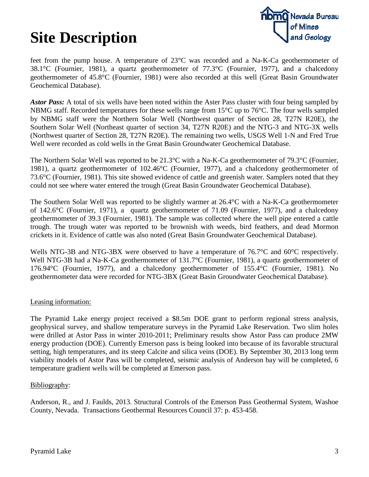

feet from the pump house. A temperature of 23°C was recorded and a Na-K-Ca geothermometer of 38.1°C (Fournier, 1981), a quartz geothermometer of 77.3°C (Fournier, 1977), and a chalcedony geothermometer of 45.8°C (Fournier, 1981) were also recorded at this well (Great Basin Groundwater Geochemical Database).

*Astor Pass:* A total of six wells have been noted within the Aster Pass cluster with four being sampled by NBMG staff. Recorded temperatures for these wells range from 15°C up to 76°C. The four wells sampled by NBMG staff were the Northern Solar Well (Northwest quarter of Section 28, T27N R20E), the Southern Solar Well (Northeast quarter of section 34, T27N R20E) and the NTG-3 and NTG-3X wells (Northwest quarter of Section 28, T27N R20E). The remaining two wells, USGS Well 1-N and Fred True Well were recorded as cold wells in the Great Basin Groundwater Geochemical Database.

The Northern Solar Well was reported to be 21.3°C with a Na-K-Ca geothermometer of 79.3°C (Fournier, 1981), a quartz geothermometer of 102.46°C (Fournier, 1977), and a chalcedony geothermometer of 73.6°C (Fournier, 1981). This site showed evidence of cattle and greenish water. Samplers noted that they could not see where water entered the trough (Great Basin Groundwater Geochemical Database).

The Southern Solar Well was reported to be slightly warmer at 26.4°C with a Na-K-Ca geothermometer of 142.6°C (Fournier, 1971), a quartz geothermometer of 71.09 (Fournier, 1977), and a chalcedony geothermometer of 39.3 (Fournier, 1981). The sample was collected where the well pipe entered a cattle trough. The trough water was reported to be brownish with weeds, bird feathers, and dead Mormon crickets in it. Evidence of cattle was also noted (Great Basin Groundwater Geochemical Database).

Wells NTG-3B and NTG-3BX were observed to have a temperature of 76.7°C and 60°C respectively. Well NTG-3B had a Na-K-Ca geothermometer of 131.7<sup>o</sup>C (Fournier, 1981), a quartz geothermometer of 176.94°C (Fournier, 1977), and a chalcedony geothermometer of 155.4°C (Fournier, 1981). No geothermometer data were recorded for NTG-3BX (Great Basin Groundwater Geochemical Database).

### Leasing information:

The Pyramid Lake energy project received a \$8.5m DOE grant to perform regional stress analysis, geophysical survey, and shallow temperature surveys in the Pyramid Lake Reservation. Two slim holes were drilled at Astor Pass in winter 2010-2011; Preliminary results show Astor Pass can produce 2MW energy production (DOE). Currently Emerson pass is being looked into because of its favorable structural setting, high temperatures, and its steep Calcite and silica veins (DOE). By September 30, 2013 long term viability models of Astor Pass will be completed, seismic analysis of Anderson bay will be completed, 6 temperature gradient wells will be completed at Emerson pass.

### Bibliography:

Anderson, R., and J. Faulds, 2013. Structural Controls of the Emerson Pass Geothermal System, Washoe County, Nevada. Transactions Geothermal Resources Council 37: p. 453-458.